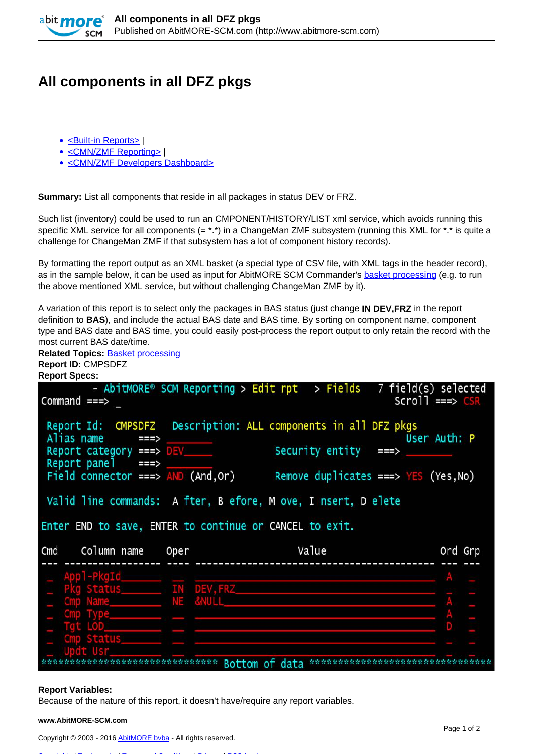

## **All components in all DFZ pkgs**

- [<Built-in Reports>](http://www.abitmore-scm.com/taxonomy/term/69) |
- [<CMN/ZMF Reporting>](http://www.abitmore-scm.com/taxonomy/term/12) |
- [<CMN/ZMF Developers Dashboard>](http://www.abitmore-scm.com/taxonomy/term/79)

**Summary:** List all components that reside in all packages in status DEV or FRZ.

Such list (inventory) could be used to run an CMPONENT/HISTORY/LIST xml service, which avoids running this specific XML service for all components (= \*.\*) in a ChangeMan ZMF subsystem (running this XML for \*.\* is quite a challenge for ChangeMan ZMF if that subsystem has a lot of component history records).

By formatting the report output as an XML basket (a special type of CSV file, with XML tags in the header record), as in the sample below, it can be used as input for AbitMORE SCM Commander's **[basket processing](http://www.abitmore-scm.com/products/commander/features/basket-processing) (e.g. to run**) the above mentioned XML service, but without challenging ChangeMan ZMF by it).

A variation of this report is to select only the packages in BAS status (just change **IN DEV,FRZ** in the report definition to **BAS**), and include the actual BAS date and BAS time. By sorting on component name, component type and BAS date and BAS time, you could easily post-process the report output to only retain the record with the most current BAS date/time.

| <b>Related Topics: Basket processing</b>                                                                                                                                                                                                                                                                                                                                                         |      |                                               |                                            |  |  |  |  |  |  |  |
|--------------------------------------------------------------------------------------------------------------------------------------------------------------------------------------------------------------------------------------------------------------------------------------------------------------------------------------------------------------------------------------------------|------|-----------------------------------------------|--------------------------------------------|--|--|--|--|--|--|--|
| Report ID: CMPSDFZ                                                                                                                                                                                                                                                                                                                                                                               |      |                                               |                                            |  |  |  |  |  |  |  |
| <b>Report Specs:</b>                                                                                                                                                                                                                                                                                                                                                                             |      |                                               |                                            |  |  |  |  |  |  |  |
| Command $==$                                                                                                                                                                                                                                                                                                                                                                                     |      | - AbitMORE® SCM Reporting > Edit rpt > Fields | 7 field(s) selected<br>$Scrol1$ ===> $CSR$ |  |  |  |  |  |  |  |
| Report Id: CMPSDFZ Description: ALL components in all DFZ pkgs<br>Alias name<br>User Auth: P<br>===><br>Security entity<br>Report category ===> DEV<br>===><br>Report panel $==$ ><br>Field connector ===> $AND (And, Or)$<br>Remove duplicates ===> $YES$ (Yes, No)<br>Valid line commands: A fter, B efore, M ove, I nsert, D elete<br>Enter END to save, ENTER to continue or CANCEL to exit. |      |                                               |                                            |  |  |  |  |  |  |  |
| Column name<br>Cmd                                                                                                                                                                                                                                                                                                                                                                               | Oper | Value                                         | Ord Grp                                    |  |  |  |  |  |  |  |
| ppl-PkaId                                                                                                                                                                                                                                                                                                                                                                                        |      |                                               |                                            |  |  |  |  |  |  |  |
|                                                                                                                                                                                                                                                                                                                                                                                                  |      |                                               |                                            |  |  |  |  |  |  |  |
|                                                                                                                                                                                                                                                                                                                                                                                                  |      |                                               |                                            |  |  |  |  |  |  |  |
| Status IN DEV, FRZ                                                                                                                                                                                                                                                                                                                                                                               |      |                                               |                                            |  |  |  |  |  |  |  |
|                                                                                                                                                                                                                                                                                                                                                                                                  |      |                                               |                                            |  |  |  |  |  |  |  |
|                                                                                                                                                                                                                                                                                                                                                                                                  |      |                                               |                                            |  |  |  |  |  |  |  |
|                                                                                                                                                                                                                                                                                                                                                                                                  |      |                                               |                                            |  |  |  |  |  |  |  |
| <b>Status</b>                                                                                                                                                                                                                                                                                                                                                                                    |      |                                               |                                            |  |  |  |  |  |  |  |

## **Report Variables:**

Because of the nature of this report, it doesn't have/require any report variables.

**www.AbitMORE-SCM.com**

[Copyrights](http://www.abitmore-scm.com/legal/copyrights) | [Trademarks](http://www.abitmore-scm.com/legal/trademarks) | [Terms and Conditions](http://www.abitmore-scm.com/legal/terms) | [Privacy](http://www.abitmore-scm.com/legal/privacy) | [RSS feeds](http://www.abitmore-scm.com/rss.xml)